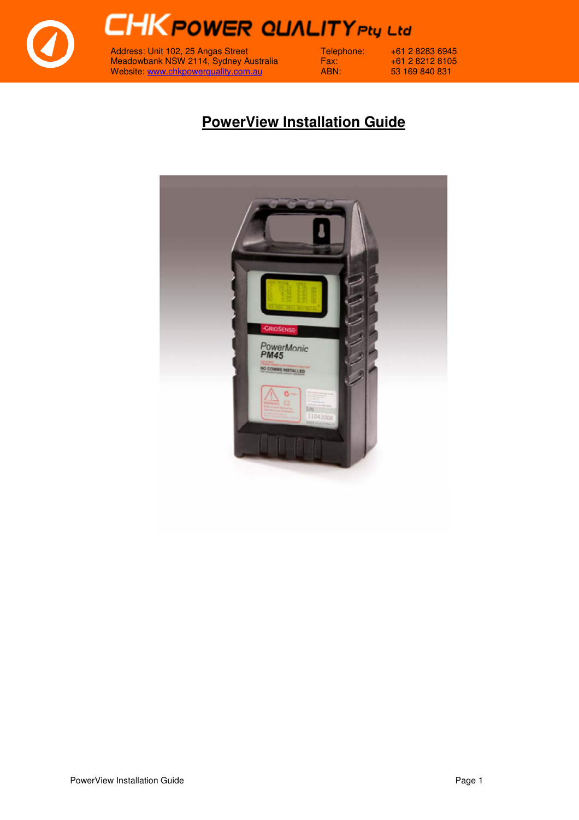

**CHK POWER QUALITY Pty Ltd** 

Address: Unit 102, 25 Angas Street Telephone: +61 2 8283 6945 Meadowbank NSW 2114, Sydney Australia Fax: +61 2 8212 8105 Website: www.chkpowerquality.com.au ABN: 53 169 840 831

# **PowerView Installation Guide**

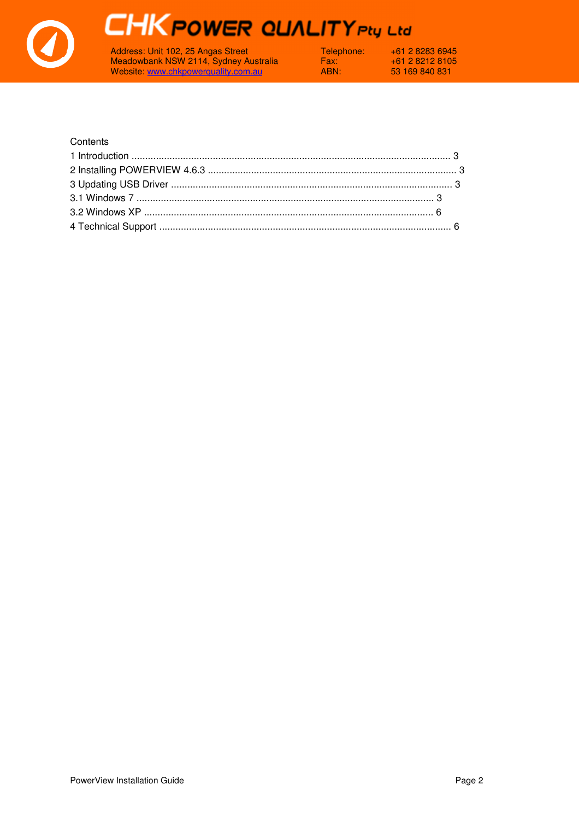



Address: Unit 102, 25 Angas Street<br>Meadowbank NSW 2114, Sydney Australia Website: www.chkpowerquality.com.au

Telephone: Fax: ABN:

+61 2 8283 6945 +61 2 8212 8105 53 169 840 831

## Contents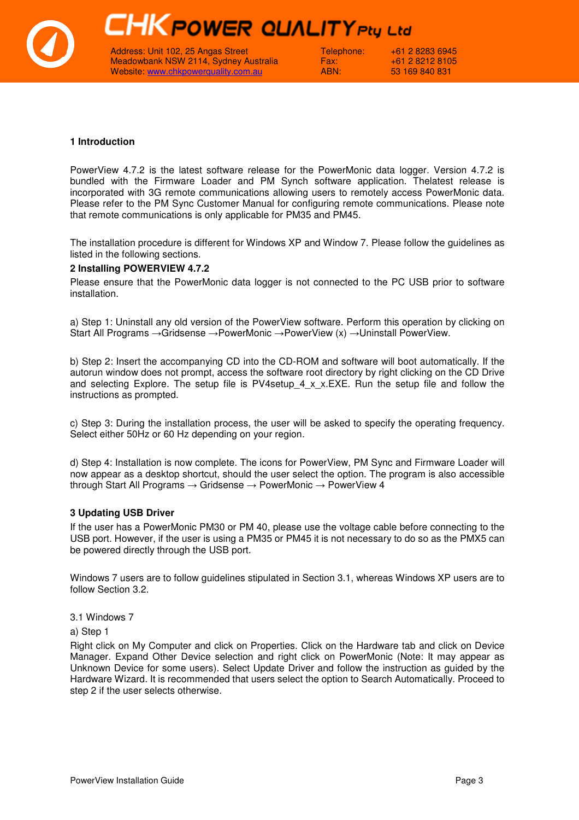**CHK POWER QUALITY Pty Ltd** 



Address: Unit 102, 25 Angas Street Telephone: +61 2 8283 6945<br>Meadowbank NSW 2114. Sydney Australia Fax: +61 2 8212 8105 Meadowbank NSW 2114, Sydney Australia Fax:  $+61 2 8212 8105$ <br>
Website: www.chkpowerquality.com.au ABN: 53 169 840 831 Website: www.chkpowerquality.com.au ABN: 53 169 840 831

## **1 Introduction**

PowerView 4.7.2 is the latest software release for the PowerMonic data logger. Version 4.7.2 is bundled with the Firmware Loader and PM Synch software application. Thelatest release is incorporated with 3G remote communications allowing users to remotely access PowerMonic data. Please refer to the PM Sync Customer Manual for configuring remote communications. Please note that remote communications is only applicable for PM35 and PM45.

The installation procedure is different for Windows XP and Window 7. Please follow the guidelines as listed in the following sections.

## **2 Installing POWERVIEW 4.7.2**

Please ensure that the PowerMonic data logger is not connected to the PC USB prior to software installation.

a) Step 1: Uninstall any old version of the PowerView software. Perform this operation by clicking on Start All Programs →Gridsense →PowerMonic →PowerView (x) →Uninstall PowerView.

b) Step 2: Insert the accompanying CD into the CD-ROM and software will boot automatically. If the autorun window does not prompt, access the software root directory by right clicking on the CD Drive and selecting Explore. The setup file is PV4setup\_ $4 \times x$ .EXE. Run the setup file and follow the instructions as prompted.

c) Step 3: During the installation process, the user will be asked to specify the operating frequency. Select either 50Hz or 60 Hz depending on your region.

d) Step 4: Installation is now complete. The icons for PowerView, PM Sync and Firmware Loader will now appear as a desktop shortcut, should the user select the option. The program is also accessible through Start All Programs → Gridsense → PowerMonic → PowerView 4

## **3 Updating USB Driver**

If the user has a PowerMonic PM30 or PM 40, please use the voltage cable before connecting to the USB port. However, if the user is using a PM35 or PM45 it is not necessary to do so as the PMX5 can be powered directly through the USB port.

Windows 7 users are to follow guidelines stipulated in Section 3.1, whereas Windows XP users are to follow Section 3.2.

#### 3.1 Windows 7

a) Step 1

Right click on My Computer and click on Properties. Click on the Hardware tab and click on Device Manager. Expand Other Device selection and right click on PowerMonic (Note: It may appear as Unknown Device for some users). Select Update Driver and follow the instruction as guided by the Hardware Wizard. It is recommended that users select the option to Search Automatically. Proceed to step 2 if the user selects otherwise.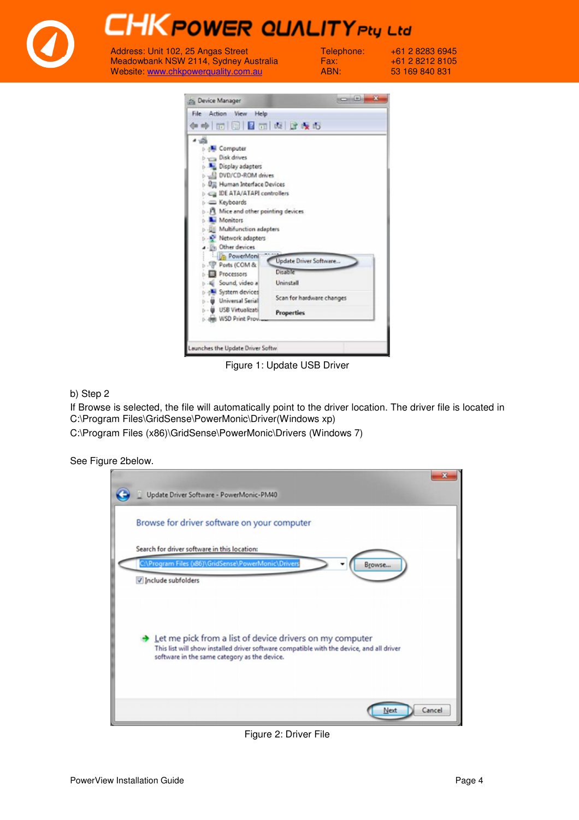**CHK POWER QUALITY Pty Ltd** Address: Unit 102, 25 Angas Street Telephone: +61 2 8283 6945<br>Meadowbank NSW 2114, Sydney Australia Fax: +61 2 8212 8105 Meadowbank NSW 2114, Sydney Australia Fax:  $+61 2 8212 8105$ <br>Website: www.chkpowerguality.com.au ABN: 53 169 840 831 Website: www.chkpowerquality.com.au



Figure 1: Update USB Driver

b) Step 2

If Browse is selected, the file will automatically point to the driver location. The driver file is located in C:\Program Files\GridSense\PowerMonic\Driver(Windows xp)

C:\Program Files (x86)\GridSense\PowerMonic\Drivers (Windows 7)

See Figure 2below.



Figure 2: Driver File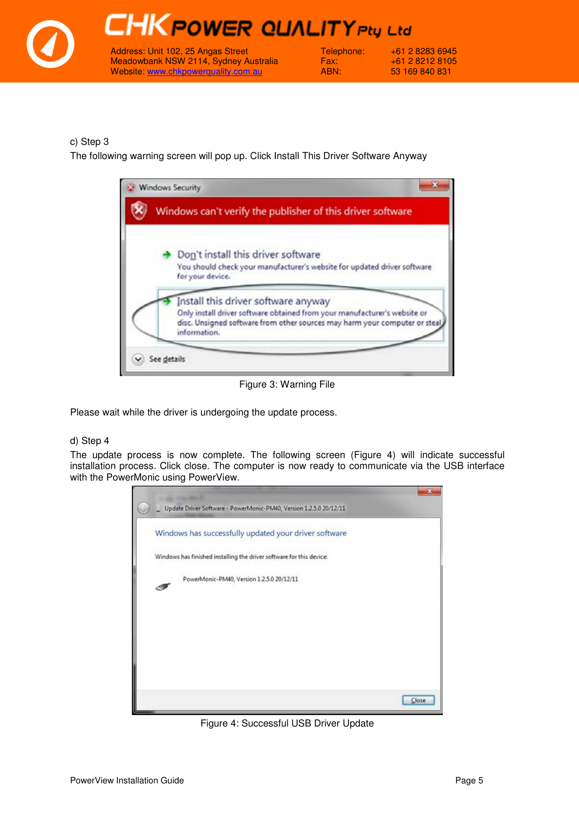

## c) Step 3

The following warning screen will pop up. Click Install This Driver Software Anyway



Figure 3: Warning File

Please wait while the driver is undergoing the update process.

#### d) Step 4

The update process is now complete. The following screen (Figure 4) will indicate successful installation process. Click close. The computer is now ready to communicate via the USB interface with the PowerMonic using PowerView.



Figure 4: Successful USB Driver Update